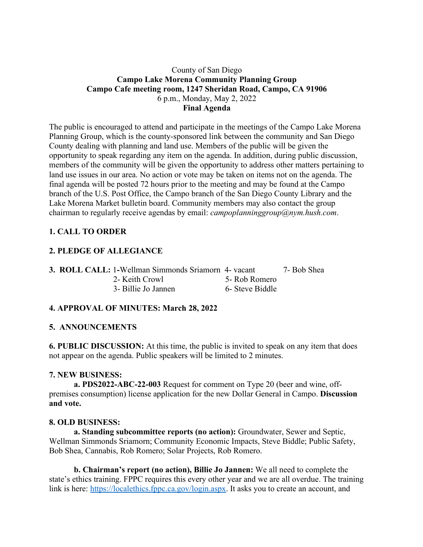## County of San Diego **Campo Lake Morena Community Planning Group Campo Cafe meeting room, 1247 Sheridan Road, Campo, CA 91906** 6 p.m., Monday, May 2, 2022 **Final Agenda**

The public is encouraged to attend and participate in the meetings of the Campo Lake Morena Planning Group, which is the county-sponsored link between the community and San Diego County dealing with planning and land use. Members of the public will be given the opportunity to speak regarding any item on the agenda. In addition, during public discussion, members of the community will be given the opportunity to address other matters pertaining to land use issues in our area. No action or vote may be taken on items not on the agenda. The final agenda will be posted 72 hours prior to the meeting and may be found at the Campo branch of the U.S. Post Office, the Campo branch of the San Diego County Library and the Lake Morena Market bulletin board. Community members may also contact the group chairman to regularly receive agendas by email: *campoplanninggroup@nym.hush.com*.

# **1. CALL TO ORDER**

## **2. PLEDGE OF ALLEGIANCE**

|  | <b>3. ROLL CALL: 1-Wellman Simmonds Sriamorn 4- vacant</b> |                 | 7- Bob Shea |
|--|------------------------------------------------------------|-----------------|-------------|
|  | 2- Keith Crowl                                             | 5- Rob Romero   |             |
|  | 3- Billie Jo Jannen                                        | 6- Steve Biddle |             |

## **4. APPROVAL OF MINUTES: March 28, 2022**

#### **5. ANNOUNCEMENTS**

**6. PUBLIC DISCUSSION:** At this time, the public is invited to speak on any item that does not appear on the agenda. Public speakers will be limited to 2 minutes.

#### **7. NEW BUSINESS:**

**a. PDS2022-ABC-22-003** Request for comment on Type 20 (beer and wine, offpremises consumption) license application for the new Dollar General in Campo. **Discussion and vote.**

#### **8. OLD BUSINESS:**

**a. Standing subcommittee reports (no action):** Groundwater, Sewer and Septic, Wellman Simmonds Sriamorn; Community Economic Impacts, Steve Biddle; Public Safety, Bob Shea, Cannabis, Rob Romero; Solar Projects, Rob Romero.

**b. Chairman's report (no action), Billie Jo Jannen:** We all need to complete the state's ethics training. FPPC requires this every other year and we are all overdue. The training link is here: https://localethics.fppc.ca.gov/login.aspx. It asks you to create an account, and